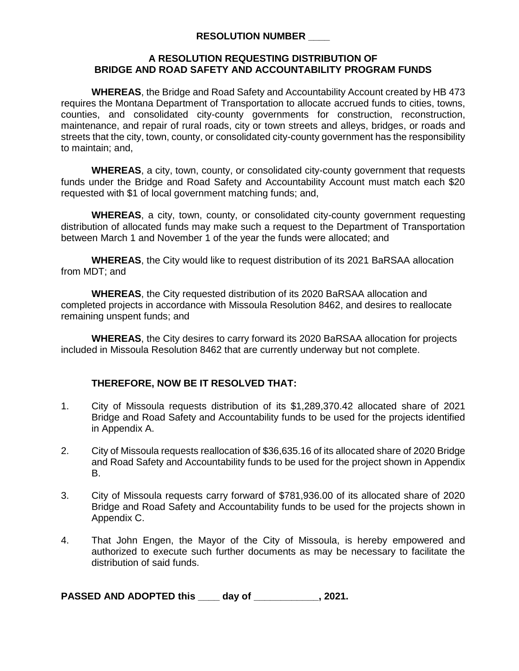### **RESOLUTION NUMBER \_\_\_\_**

### **A RESOLUTION REQUESTING DISTRIBUTION OF BRIDGE AND ROAD SAFETY AND ACCOUNTABILITY PROGRAM FUNDS**

**WHEREAS**, the Bridge and Road Safety and Accountability Account created by HB 473 requires the Montana Department of Transportation to allocate accrued funds to cities, towns, counties, and consolidated city-county governments for construction, reconstruction, maintenance, and repair of rural roads, city or town streets and alleys, bridges, or roads and streets that the city, town, county, or consolidated city-county government has the responsibility to maintain; and,

**WHEREAS**, a city, town, county, or consolidated city-county government that requests funds under the Bridge and Road Safety and Accountability Account must match each \$20 requested with \$1 of local government matching funds; and,

**WHEREAS**, a city, town, county, or consolidated city-county government requesting distribution of allocated funds may make such a request to the Department of Transportation between March 1 and November 1 of the year the funds were allocated; and

**WHEREAS**, the City would like to request distribution of its 2021 BaRSAA allocation from MDT; and

**WHEREAS**, the City requested distribution of its 2020 BaRSAA allocation and completed projects in accordance with Missoula Resolution 8462, and desires to reallocate remaining unspent funds; and

**WHEREAS**, the City desires to carry forward its 2020 BaRSAA allocation for projects included in Missoula Resolution 8462 that are currently underway but not complete.

## **THEREFORE, NOW BE IT RESOLVED THAT:**

- 1. City of Missoula requests distribution of its \$1,289,370.42 allocated share of 2021 Bridge and Road Safety and Accountability funds to be used for the projects identified in Appendix A.
- 2. City of Missoula requests reallocation of \$36,635.16 of its allocated share of 2020 Bridge and Road Safety and Accountability funds to be used for the project shown in Appendix B.
- 3. City of Missoula requests carry forward of \$781,936.00 of its allocated share of 2020 Bridge and Road Safety and Accountability funds to be used for the projects shown in Appendix C.
- 4. That John Engen, the Mayor of the City of Missoula, is hereby empowered and authorized to execute such further documents as may be necessary to facilitate the distribution of said funds.

**PASSED AND ADOPTED this \_\_\_\_ day of \_\_\_\_\_\_\_\_\_\_\_\_, 2021.**